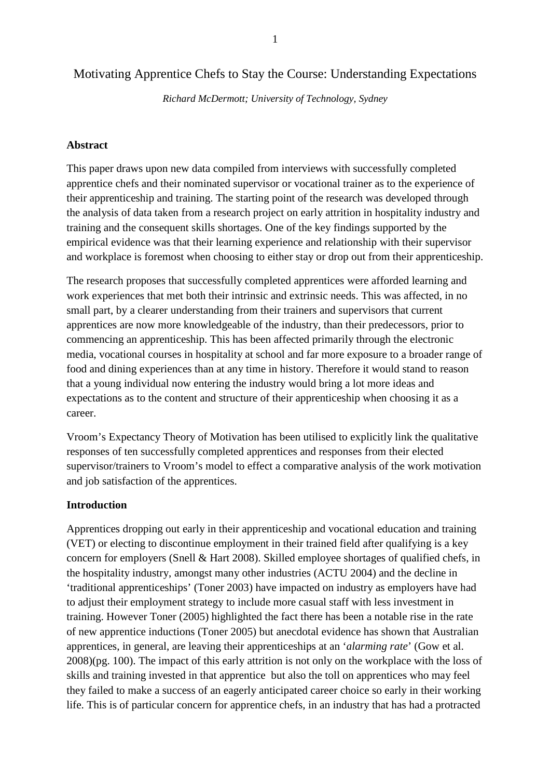# Motivating Apprentice Chefs to Stay the Course: Understanding Expectations

*Richard McDermott; University of Technology, Sydney*

#### **Abstract**

This paper draws upon new data compiled from interviews with successfully completed apprentice chefs and their nominated supervisor or vocational trainer as to the experience of their apprenticeship and training. The starting point of the research was developed through the analysis of data taken from a research project on early attrition in hospitality industry and training and the consequent skills shortages. One of the key findings supported by the empirical evidence was that their learning experience and relationship with their supervisor and workplace is foremost when choosing to either stay or drop out from their apprenticeship.

The research proposes that successfully completed apprentices were afforded learning and work experiences that met both their intrinsic and extrinsic needs. This was affected, in no small part, by a clearer understanding from their trainers and supervisors that current apprentices are now more knowledgeable of the industry, than their predecessors, prior to commencing an apprenticeship. This has been affected primarily through the electronic media, vocational courses in hospitality at school and far more exposure to a broader range of food and dining experiences than at any time in history. Therefore it would stand to reason that a young individual now entering the industry would bring a lot more ideas and expectations as to the content and structure of their apprenticeship when choosing it as a career.

Vroom's Expectancy Theory of Motivation has been utilised to explicitly link the qualitative responses of ten successfully completed apprentices and responses from their elected supervisor/trainers to Vroom's model to effect a comparative analysis of the work motivation and job satisfaction of the apprentices.

## **Introduction**

Apprentices dropping out early in their apprenticeship and vocational education and training (VET) or electing to discontinue employment in their trained field after qualifying is a key concern for employers (Snell & Hart 2008). Skilled employee shortages of qualified chefs, in the hospitality industry, amongst many other industries (ACTU 2004) and the decline in 'traditional apprenticeships' (Toner 2003) have impacted on industry as employers have had to adjust their employment strategy to include more casual staff with less investment in training. However Toner (2005) highlighted the fact there has been a notable rise in the rate of new apprentice inductions (Toner 2005) but anecdotal evidence has shown that Australian apprentices, in general, are leaving their apprenticeships at an '*alarming rate*' (Gow et al. 2008)(pg. 100). The impact of this early attrition is not only on the workplace with the loss of skills and training invested in that apprentice but also the toll on apprentices who may feel they failed to make a success of an eagerly anticipated career choice so early in their working life. This is of particular concern for apprentice chefs, in an industry that has had a protracted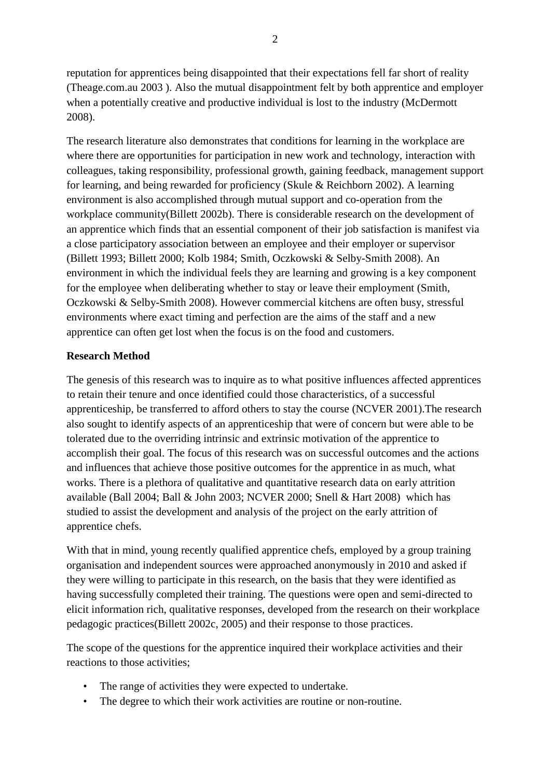reputation for apprentices being disappointed that their expectations fell far short of reality (Theage.com.au 2003 ). Also the mutual disappointment felt by both apprentice and employer when a potentially creative and productive individual is lost to the industry (McDermott 2008).

The research literature also demonstrates that conditions for learning in the workplace are where there are opportunities for participation in new work and technology, interaction with colleagues, taking responsibility, professional growth, gaining feedback, management support for learning, and being rewarded for proficiency (Skule & Reichborn 2002). A learning environment is also accomplished through mutual support and co-operation from the workplace community(Billett 2002b). There is considerable research on the development of an apprentice which finds that an essential component of their job satisfaction is manifest via a close participatory association between an employee and their employer or supervisor (Billett 1993; Billett 2000; Kolb 1984; Smith, Oczkowski & Selby-Smith 2008). An environment in which the individual feels they are learning and growing is a key component for the employee when deliberating whether to stay or leave their employment (Smith, Oczkowski & Selby-Smith 2008). However commercial kitchens are often busy, stressful environments where exact timing and perfection are the aims of the staff and a new apprentice can often get lost when the focus is on the food and customers.

# **Research Method**

The genesis of this research was to inquire as to what positive influences affected apprentices to retain their tenure and once identified could those characteristics, of a successful apprenticeship, be transferred to afford others to stay the course (NCVER 2001).The research also sought to identify aspects of an apprenticeship that were of concern but were able to be tolerated due to the overriding intrinsic and extrinsic motivation of the apprentice to accomplish their goal. The focus of this research was on successful outcomes and the actions and influences that achieve those positive outcomes for the apprentice in as much, what works. There is a plethora of qualitative and quantitative research data on early attrition available (Ball 2004; Ball & John 2003; NCVER 2000; Snell & Hart 2008) which has studied to assist the development and analysis of the project on the early attrition of apprentice chefs.

With that in mind, young recently qualified apprentice chefs, employed by a group training organisation and independent sources were approached anonymously in 2010 and asked if they were willing to participate in this research, on the basis that they were identified as having successfully completed their training. The questions were open and semi-directed to elicit information rich, qualitative responses, developed from the research on their workplace pedagogic practices(Billett 2002c, 2005) and their response to those practices.

The scope of the questions for the apprentice inquired their workplace activities and their reactions to those activities;

- The range of activities they were expected to undertake.
- The degree to which their work activities are routine or non-routine.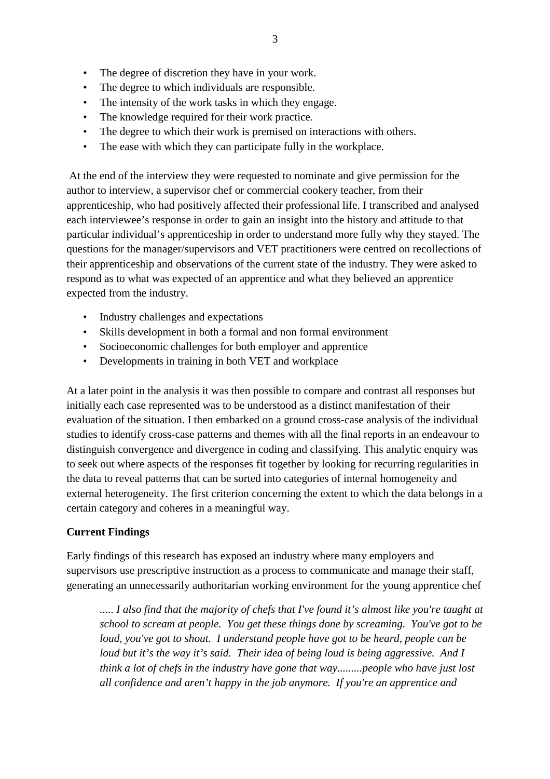- The degree of discretion they have in your work.
- The degree to which individuals are responsible.
- The intensity of the work tasks in which they engage.
- The knowledge required for their work practice.
- The degree to which their work is premised on interactions with others.
- The ease with which they can participate fully in the workplace.

 At the end of the interview they were requested to nominate and give permission for the author to interview, a supervisor chef or commercial cookery teacher, from their apprenticeship, who had positively affected their professional life. I transcribed and analysed each interviewee's response in order to gain an insight into the history and attitude to that particular individual's apprenticeship in order to understand more fully why they stayed. The questions for the manager/supervisors and VET practitioners were centred on recollections of their apprenticeship and observations of the current state of the industry. They were asked to respond as to what was expected of an apprentice and what they believed an apprentice expected from the industry.

- Industry challenges and expectations
- Skills development in both a formal and non formal environment
- Socioeconomic challenges for both employer and apprentice
- Developments in training in both VET and workplace

At a later point in the analysis it was then possible to compare and contrast all responses but initially each case represented was to be understood as a distinct manifestation of their evaluation of the situation. I then embarked on a ground cross-case analysis of the individual studies to identify cross-case patterns and themes with all the final reports in an endeavour to distinguish convergence and divergence in coding and classifying. This analytic enquiry was to seek out where aspects of the responses fit together by looking for recurring regularities in the data to reveal patterns that can be sorted into categories of internal homogeneity and external heterogeneity. The first criterion concerning the extent to which the data belongs in a certain category and coheres in a meaningful way.

# **Current Findings**

Early findings of this research has exposed an industry where many employers and supervisors use prescriptive instruction as a process to communicate and manage their staff, generating an unnecessarily authoritarian working environment for the young apprentice chef

*..... I also find that the majority of chefs that I've found it's almost like you're taught at school to scream at people. You get these things done by screaming. You've got to be loud, you've got to shout. I understand people have got to be heard, people can be loud but it's the way it's said. Their idea of being loud is being aggressive. And I think a lot of chefs in the industry have gone that way.........people who have just lost all confidence and aren't happy in the job anymore. If you're an apprentice and*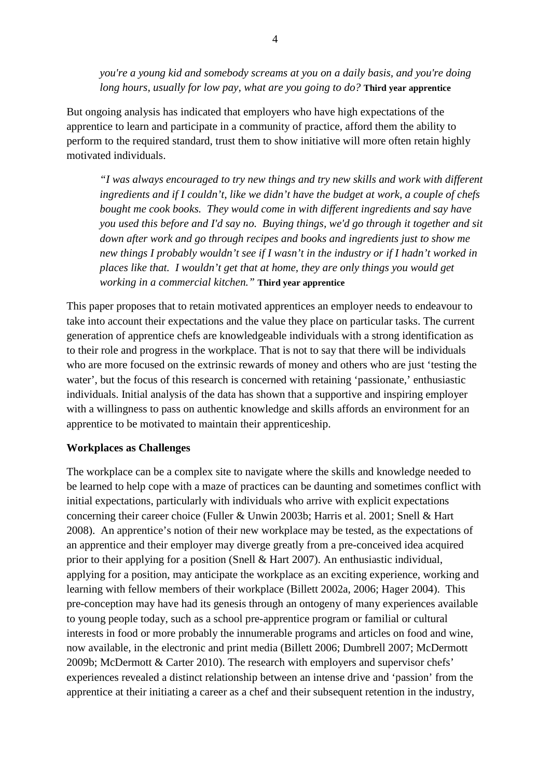*you're a young kid and somebody screams at you on a daily basis, and you're doing long hours, usually for low pay, what are you going to do?* **Third year apprentice** 

But ongoing analysis has indicated that employers who have high expectations of the apprentice to learn and participate in a community of practice, afford them the ability to perform to the required standard, trust them to show initiative will more often retain highly motivated individuals.

*"I was always encouraged to try new things and try new skills and work with different ingredients and if I couldn't, like we didn't have the budget at work, a couple of chefs bought me cook books. They would come in with different ingredients and say have you used this before and I'd say no. Buying things, we'd go through it together and sit down after work and go through recipes and books and ingredients just to show me new things I probably wouldn't see if I wasn't in the industry or if I hadn't worked in places like that. I wouldn't get that at home, they are only things you would get working in a commercial kitchen."* **Third year apprentice** 

This paper proposes that to retain motivated apprentices an employer needs to endeavour to take into account their expectations and the value they place on particular tasks. The current generation of apprentice chefs are knowledgeable individuals with a strong identification as to their role and progress in the workplace. That is not to say that there will be individuals who are more focused on the extrinsic rewards of money and others who are just 'testing the water', but the focus of this research is concerned with retaining 'passionate,' enthusiastic individuals. Initial analysis of the data has shown that a supportive and inspiring employer with a willingness to pass on authentic knowledge and skills affords an environment for an apprentice to be motivated to maintain their apprenticeship.

## **Workplaces as Challenges**

The workplace can be a complex site to navigate where the skills and knowledge needed to be learned to help cope with a maze of practices can be daunting and sometimes conflict with initial expectations, particularly with individuals who arrive with explicit expectations concerning their career choice (Fuller & Unwin 2003b; Harris et al. 2001; Snell & Hart 2008). An apprentice's notion of their new workplace may be tested, as the expectations of an apprentice and their employer may diverge greatly from a pre-conceived idea acquired prior to their applying for a position (Snell & Hart 2007). An enthusiastic individual, applying for a position, may anticipate the workplace as an exciting experience, working and learning with fellow members of their workplace (Billett 2002a, 2006; Hager 2004). This pre-conception may have had its genesis through an ontogeny of many experiences available to young people today, such as a school pre-apprentice program or familial or cultural interests in food or more probably the innumerable programs and articles on food and wine, now available, in the electronic and print media (Billett 2006; Dumbrell 2007; McDermott 2009b; McDermott & Carter 2010). The research with employers and supervisor chefs' experiences revealed a distinct relationship between an intense drive and 'passion' from the apprentice at their initiating a career as a chef and their subsequent retention in the industry,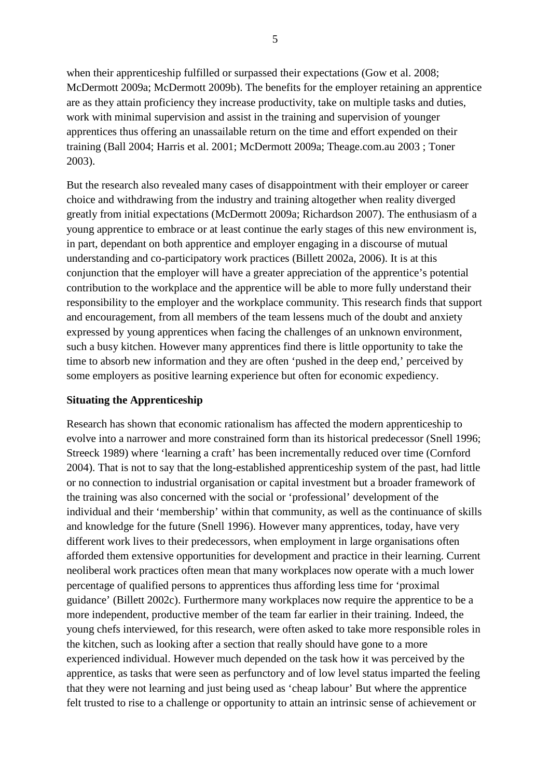when their apprenticeship fulfilled or surpassed their expectations (Gow et al. 2008; McDermott 2009a; McDermott 2009b). The benefits for the employer retaining an apprentice are as they attain proficiency they increase productivity, take on multiple tasks and duties, work with minimal supervision and assist in the training and supervision of younger apprentices thus offering an unassailable return on the time and effort expended on their training (Ball 2004; Harris et al. 2001; McDermott 2009a; Theage.com.au 2003 ; Toner 2003).

But the research also revealed many cases of disappointment with their employer or career choice and withdrawing from the industry and training altogether when reality diverged greatly from initial expectations (McDermott 2009a; Richardson 2007). The enthusiasm of a young apprentice to embrace or at least continue the early stages of this new environment is, in part, dependant on both apprentice and employer engaging in a discourse of mutual understanding and co-participatory work practices (Billett 2002a, 2006). It is at this conjunction that the employer will have a greater appreciation of the apprentice's potential contribution to the workplace and the apprentice will be able to more fully understand their responsibility to the employer and the workplace community. This research finds that support and encouragement, from all members of the team lessens much of the doubt and anxiety expressed by young apprentices when facing the challenges of an unknown environment, such a busy kitchen. However many apprentices find there is little opportunity to take the time to absorb new information and they are often 'pushed in the deep end,' perceived by some employers as positive learning experience but often for economic expediency.

## **Situating the Apprenticeship**

Research has shown that economic rationalism has affected the modern apprenticeship to evolve into a narrower and more constrained form than its historical predecessor (Snell 1996; Streeck 1989) where 'learning a craft' has been incrementally reduced over time (Cornford 2004). That is not to say that the long-established apprenticeship system of the past, had little or no connection to industrial organisation or capital investment but a broader framework of the training was also concerned with the social or 'professional' development of the individual and their 'membership' within that community, as well as the continuance of skills and knowledge for the future (Snell 1996). However many apprentices, today, have very different work lives to their predecessors, when employment in large organisations often afforded them extensive opportunities for development and practice in their learning. Current neoliberal work practices often mean that many workplaces now operate with a much lower percentage of qualified persons to apprentices thus affording less time for 'proximal guidance' (Billett 2002c). Furthermore many workplaces now require the apprentice to be a more independent, productive member of the team far earlier in their training. Indeed, the young chefs interviewed, for this research, were often asked to take more responsible roles in the kitchen, such as looking after a section that really should have gone to a more experienced individual. However much depended on the task how it was perceived by the apprentice, as tasks that were seen as perfunctory and of low level status imparted the feeling that they were not learning and just being used as 'cheap labour' But where the apprentice felt trusted to rise to a challenge or opportunity to attain an intrinsic sense of achievement or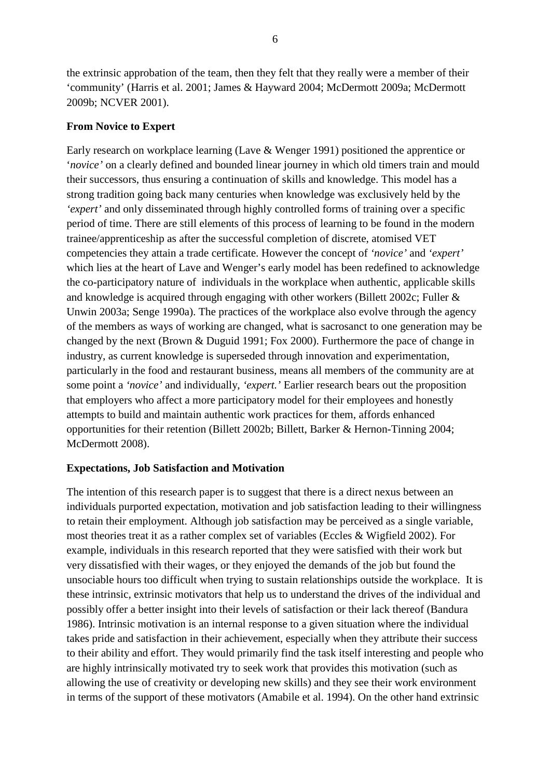the extrinsic approbation of the team, then they felt that they really were a member of their 'community' (Harris et al. 2001; James & Hayward 2004; McDermott 2009a; McDermott 2009b; NCVER 2001).

### **From Novice to Expert**

Early research on workplace learning (Lave & Wenger 1991) positioned the apprentice or '*novice'* on a clearly defined and bounded linear journey in which old timers train and mould their successors, thus ensuring a continuation of skills and knowledge. This model has a strong tradition going back many centuries when knowledge was exclusively held by the *'expert'* and only disseminated through highly controlled forms of training over a specific period of time. There are still elements of this process of learning to be found in the modern trainee/apprenticeship as after the successful completion of discrete, atomised VET competencies they attain a trade certificate. However the concept of *'novice'* and *'expert'* which lies at the heart of Lave and Wenger's early model has been redefined to acknowledge the co-participatory nature of individuals in the workplace when authentic, applicable skills and knowledge is acquired through engaging with other workers (Billett 2002c; Fuller & Unwin 2003a; Senge 1990a). The practices of the workplace also evolve through the agency of the members as ways of working are changed, what is sacrosanct to one generation may be changed by the next (Brown & Duguid 1991; Fox 2000). Furthermore the pace of change in industry, as current knowledge is superseded through innovation and experimentation, particularly in the food and restaurant business, means all members of the community are at some point a *'novice'* and individually, *'expert.'* Earlier research bears out the proposition that employers who affect a more participatory model for their employees and honestly attempts to build and maintain authentic work practices for them, affords enhanced opportunities for their retention (Billett 2002b; Billett, Barker & Hernon-Tinning 2004; McDermott 2008).

#### **Expectations, Job Satisfaction and Motivation**

The intention of this research paper is to suggest that there is a direct nexus between an individuals purported expectation, motivation and job satisfaction leading to their willingness to retain their employment. Although job satisfaction may be perceived as a single variable, most theories treat it as a rather complex set of variables (Eccles & Wigfield 2002). For example, individuals in this research reported that they were satisfied with their work but very dissatisfied with their wages, or they enjoyed the demands of the job but found the unsociable hours too difficult when trying to sustain relationships outside the workplace. It is these intrinsic, extrinsic motivators that help us to understand the drives of the individual and possibly offer a better insight into their levels of satisfaction or their lack thereof (Bandura 1986). Intrinsic motivation is an internal response to a given situation where the individual takes pride and satisfaction in their achievement, especially when they attribute their success to their ability and effort. They would primarily find the task itself interesting and people who are highly intrinsically motivated try to seek work that provides this motivation (such as allowing the use of creativity or developing new skills) and they see their work environment in terms of the support of these motivators (Amabile et al. 1994). On the other hand extrinsic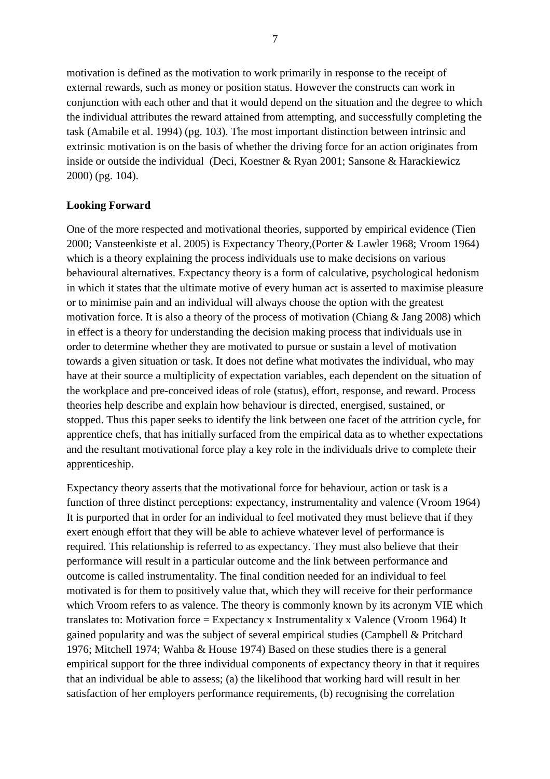motivation is defined as the motivation to work primarily in response to the receipt of external rewards, such as money or position status. However the constructs can work in conjunction with each other and that it would depend on the situation and the degree to which the individual attributes the reward attained from attempting, and successfully completing the task (Amabile et al. 1994) (pg. 103). The most important distinction between intrinsic and extrinsic motivation is on the basis of whether the driving force for an action originates from inside or outside the individual (Deci, Koestner & Ryan 2001; Sansone & Harackiewicz 2000) (pg. 104).

# **Looking Forward**

One of the more respected and motivational theories, supported by empirical evidence (Tien 2000; Vansteenkiste et al. 2005) is Expectancy Theory,(Porter & Lawler 1968; Vroom 1964) which is a theory explaining the process individuals use to make decisions on various behavioural alternatives. Expectancy theory is a form of calculative, psychological hedonism in which it states that the ultimate motive of every human act is asserted to maximise pleasure or to minimise pain and an individual will always choose the option with the greatest motivation force. It is also a theory of the process of motivation (Chiang & Jang 2008) which in effect is a theory for understanding the decision making process that individuals use in order to determine whether they are motivated to pursue or sustain a level of motivation towards a given situation or task. It does not define what motivates the individual, who may have at their source a multiplicity of expectation variables, each dependent on the situation of the workplace and pre-conceived ideas of role (status), effort, response, and reward. Process theories help describe and explain how behaviour is directed, energised, sustained, or stopped. Thus this paper seeks to identify the link between one facet of the attrition cycle, for apprentice chefs, that has initially surfaced from the empirical data as to whether expectations and the resultant motivational force play a key role in the individuals drive to complete their apprenticeship.

Expectancy theory asserts that the motivational force for behaviour, action or task is a function of three distinct perceptions: expectancy, instrumentality and valence (Vroom 1964) It is purported that in order for an individual to feel motivated they must believe that if they exert enough effort that they will be able to achieve whatever level of performance is required. This relationship is referred to as expectancy. They must also believe that their performance will result in a particular outcome and the link between performance and outcome is called instrumentality. The final condition needed for an individual to feel motivated is for them to positively value that, which they will receive for their performance which Vroom refers to as valence. The theory is commonly known by its acronym VIE which translates to: Motivation force = Expectancy x Instrumentality x Valence (Vroom 1964) It gained popularity and was the subject of several empirical studies (Campbell & Pritchard 1976; Mitchell 1974; Wahba & House 1974) Based on these studies there is a general empirical support for the three individual components of expectancy theory in that it requires that an individual be able to assess; (a) the likelihood that working hard will result in her satisfaction of her employers performance requirements, (b) recognising the correlation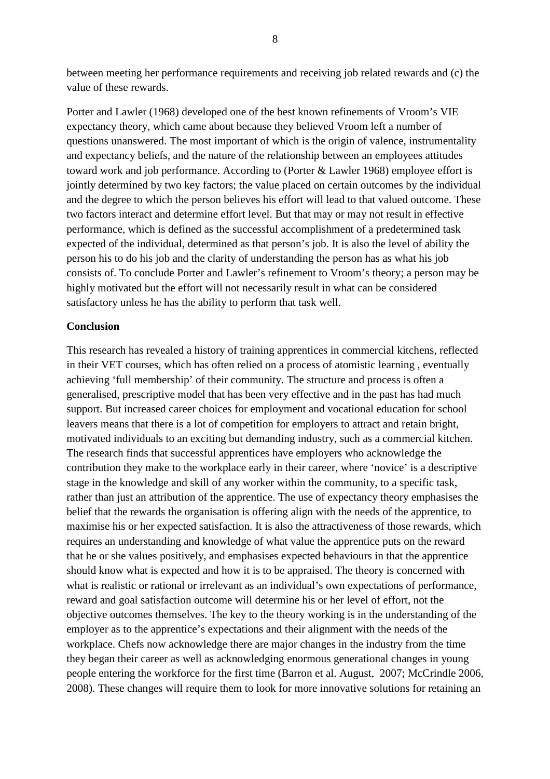between meeting her performance requirements and receiving job related rewards and (c) the value of these rewards.

Porter and Lawler (1968) developed one of the best known refinements of Vroom's VIE expectancy theory, which came about because they believed Vroom left a number of questions unanswered. The most important of which is the origin of valence, instrumentality and expectancy beliefs, and the nature of the relationship between an employees attitudes toward work and job performance. According to (Porter & Lawler 1968) employee effort is jointly determined by two key factors; the value placed on certain outcomes by the individual and the degree to which the person believes his effort will lead to that valued outcome. These two factors interact and determine effort level. But that may or may not result in effective performance, which is defined as the successful accomplishment of a predetermined task expected of the individual, determined as that person's job. It is also the level of ability the person his to do his job and the clarity of understanding the person has as what his job consists of. To conclude Porter and Lawler's refinement to Vroom's theory; a person may be highly motivated but the effort will not necessarily result in what can be considered satisfactory unless he has the ability to perform that task well.

#### **Conclusion**

This research has revealed a history of training apprentices in commercial kitchens, reflected in their VET courses, which has often relied on a process of atomistic learning , eventually achieving 'full membership' of their community. The structure and process is often a generalised, prescriptive model that has been very effective and in the past has had much support. But increased career choices for employment and vocational education for school leavers means that there is a lot of competition for employers to attract and retain bright, motivated individuals to an exciting but demanding industry, such as a commercial kitchen. The research finds that successful apprentices have employers who acknowledge the contribution they make to the workplace early in their career, where 'novice' is a descriptive stage in the knowledge and skill of any worker within the community, to a specific task, rather than just an attribution of the apprentice. The use of expectancy theory emphasises the belief that the rewards the organisation is offering align with the needs of the apprentice, to maximise his or her expected satisfaction. It is also the attractiveness of those rewards, which requires an understanding and knowledge of what value the apprentice puts on the reward that he or she values positively, and emphasises expected behaviours in that the apprentice should know what is expected and how it is to be appraised. The theory is concerned with what is realistic or rational or irrelevant as an individual's own expectations of performance, reward and goal satisfaction outcome will determine his or her level of effort, not the objective outcomes themselves. The key to the theory working is in the understanding of the employer as to the apprentice's expectations and their alignment with the needs of the workplace. Chefs now acknowledge there are major changes in the industry from the time they began their career as well as acknowledging enormous generational changes in young people entering the workforce for the first time (Barron et al. August, 2007; McCrindle 2006, 2008). These changes will require them to look for more innovative solutions for retaining an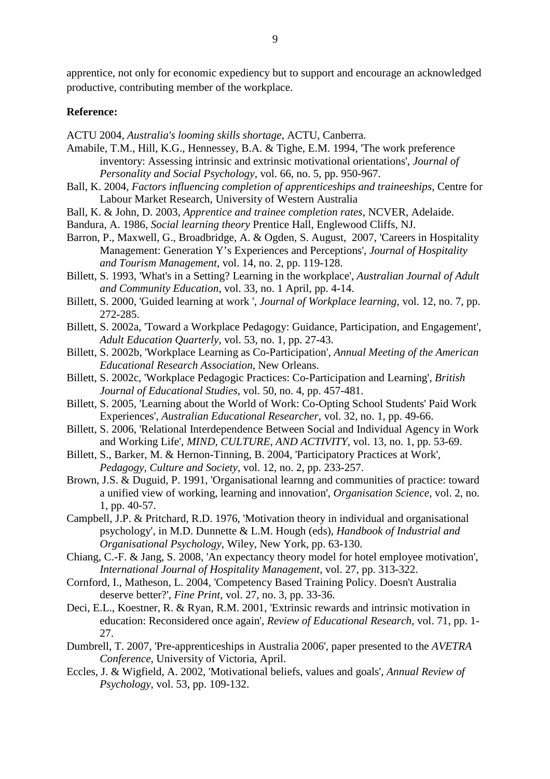apprentice, not only for economic expediency but to support and encourage an acknowledged productive, contributing member of the workplace.

#### **Reference:**

ACTU 2004, *Australia's looming skills shortage*, ACTU, Canberra.

- Amabile, T.M., Hill, K.G., Hennessey, B.A. & Tighe, E.M. 1994, 'The work preference inventory: Assessing intrinsic and extrinsic motivational orientations', *Journal of Personality and Social Psychology*, vol. 66, no. 5, pp. 950-967.
- Ball, K. 2004, *Factors influencing completion of apprenticeships and traineeships*, Centre for Labour Market Research, University of Western Australia
- Ball, K. & John, D. 2003, *Apprentice and trainee completion rates*, NCVER, Adelaide.
- Bandura, A. 1986, *Social learning theory* Prentice Hall, Englewood Cliffs, NJ.
- Barron, P., Maxwell, G., Broadbridge, A. & Ogden, S. August, 2007, 'Careers in Hospitality Management: Generation Y's Experiences and Perceptions', *Journal of Hospitality and Tourism Management*, vol. 14, no. 2, pp. 119-128.
- Billett, S. 1993, 'What's in a Setting? Learning in the workplace', *Australian Journal of Adult and Community Education*, vol. 33, no. 1 April, pp. 4-14.
- Billett, S. 2000, 'Guided learning at work ', *Journal of Workplace learning*, vol. 12, no. 7, pp. 272-285.
- Billett, S. 2002a, 'Toward a Workplace Pedagogy: Guidance, Participation, and Engagement', *Adult Education Quarterly*, vol. 53, no. 1, pp. 27-43.
- Billett, S. 2002b, 'Workplace Learning as Co-Participation', *Annual Meeting of the American Educational Research Association*, New Orleans.
- Billett, S. 2002c, 'Workplace Pedagogic Practices: Co-Participation and Learning', *British Journal of Educational Studies*, vol. 50, no. 4, pp. 457-481.
- Billett, S. 2005, 'Learning about the World of Work: Co-Opting School Students' Paid Work Experiences', *Australian Educational Researcher*, vol. 32, no. 1, pp. 49-66.
- Billett, S. 2006, 'Relational Interdependence Between Social and Individual Agency in Work and Working Life', *MIND, CULTURE, AND ACTIVITY*, vol. 13, no. 1, pp. 53-69.
- Billett, S., Barker, M. & Hernon-Tinning, B. 2004, 'Participatory Practices at Work', *Pedagogy, Culture and Society*, vol. 12, no. 2, pp. 233-257.
- Brown, J.S. & Duguid, P. 1991, 'Organisational learnng and communities of practice: toward a unified view of working, learning and innovation', *Organisation Science*, vol. 2, no. 1, pp. 40-57.
- Campbell, J.P. & Pritchard, R.D. 1976, 'Motivation theory in individual and organisational psychology', in M.D. Dunnette & L.M. Hough (eds), *Handbook of Industrial and Organisational Psychology*, Wiley, New York, pp. 63-130.
- Chiang, C.-F. & Jang, S. 2008, 'An expectancy theory model for hotel employee motivation', *International Journal of Hospitality Management*, vol. 27, pp. 313-322.
- Cornford, I., Matheson, L. 2004, 'Competency Based Training Policy. Doesn't Australia deserve better?', *Fine Print*, vol. 27, no. 3, pp. 33-36.
- Deci, E.L., Koestner, R. & Ryan, R.M. 2001, 'Extrinsic rewards and intrinsic motivation in education: Reconsidered once again', *Review of Educational Research*, vol. 71, pp. 1- 27.
- Dumbrell, T. 2007, 'Pre-apprenticeships in Australia 2006', paper presented to the *AVETRA Conference*, University of Victoria, April.
- Eccles, J. & Wigfield, A. 2002, 'Motivational beliefs, values and goals', *Annual Review of Psychology*, vol. 53, pp. 109-132.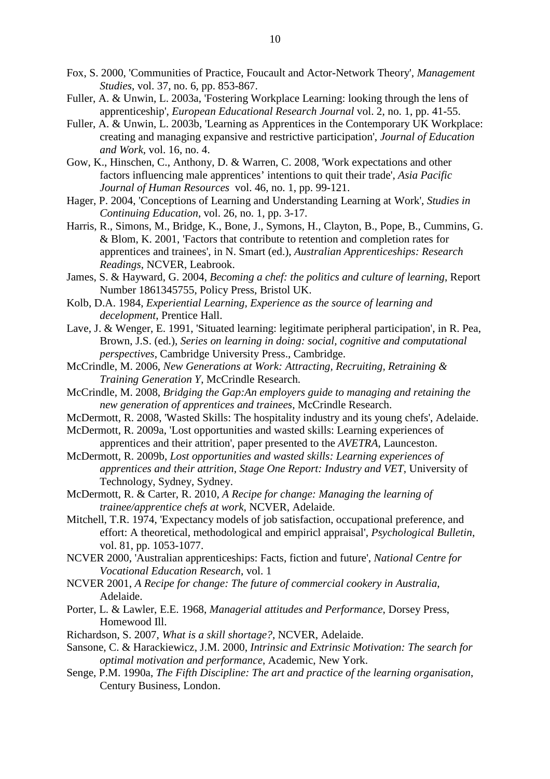- Fox, S. 2000, 'Communities of Practice, Foucault and Actor-Network Theory', *Management Studies*, vol. 37, no. 6, pp. 853-867.
- Fuller, A. & Unwin, L. 2003a, 'Fostering Workplace Learning: looking through the lens of apprenticeship', *European Educational Research Journal* vol. 2, no. 1, pp. 41-55.
- Fuller, A. & Unwin, L. 2003b, 'Learning as Apprentices in the Contemporary UK Workplace: creating and managing expansive and restrictive participation', *Journal of Education and Work*, vol. 16, no. 4.
- Gow, K., Hinschen, C., Anthony, D. & Warren, C. 2008, 'Work expectations and other factors influencing male apprentices' intentions to quit their trade', *Asia Pacific Journal of Human Resources* vol. 46, no. 1, pp. 99-121.
- Hager, P. 2004, 'Conceptions of Learning and Understanding Learning at Work', *Studies in Continuing Education*, vol. 26, no. 1, pp. 3-17.
- Harris, R., Simons, M., Bridge, K., Bone, J., Symons, H., Clayton, B., Pope, B., Cummins, G. & Blom, K. 2001, 'Factors that contribute to retention and completion rates for apprentices and trainees', in N. Smart (ed.), *Australian Apprenticeships: Research Readings*, NCVER, Leabrook.
- James, S. & Hayward, G. 2004, *Becoming a chef: the politics and culture of learning*, Report Number 1861345755, Policy Press, Bristol UK.
- Kolb, D.A. 1984, *Experiential Learning, Experience as the source of learning and decelopment*, Prentice Hall.
- Lave, J. & Wenger, E. 1991, 'Situated learning: legitimate peripheral participation', in R. Pea, Brown, J.S. (ed.), *Series on learning in doing: social, cognitive and computational perspectives*, Cambridge University Press., Cambridge.
- McCrindle, M. 2006, *New Generations at Work: Attracting, Recruiting, Retraining & Training Generation Y*, McCrindle Research.
- McCrindle, M. 2008, *Bridging the Gap:An employers guide to managing and retaining the new generation of apprentices and trainees*, McCrindle Research.
- McDermott, R. 2008, 'Wasted Skills: The hospitality industry and its young chefs', Adelaide.
- McDermott, R. 2009a, 'Lost opportunities and wasted skills: Learning experiences of apprentices and their attrition', paper presented to the *AVETRA*, Launceston.
- McDermott, R. 2009b, *Lost opportunities and wasted skills: Learning experiences of apprentices and their attrition, Stage One Report: Industry and VET*, University of Technology, Sydney, Sydney.
- McDermott, R. & Carter, R. 2010, *A Recipe for change: Managing the learning of trainee/apprentice chefs at work*, NCVER, Adelaide.
- Mitchell, T.R. 1974, 'Expectancy models of job satisfaction, occupational preference, and effort: A theoretical, methodological and empiricl appraisal', *Psychological Bulletin*, vol. 81, pp. 1053-1077.
- NCVER 2000, 'Australian apprenticeships: Facts, fiction and future', *National Centre for Vocational Education Research*, vol. 1
- NCVER 2001, *A Recipe for change: The future of commercial cookery in Australia*, Adelaide.
- Porter, L. & Lawler, E.E. 1968, *Managerial attitudes and Performance*, Dorsey Press, Homewood Ill.
- Richardson, S. 2007, *What is a skill shortage?*, NCVER, Adelaide.
- Sansone, C. & Harackiewicz, J.M. 2000, *Intrinsic and Extrinsic Motivation: The search for optimal motivation and performance*, Academic, New York.
- Senge, P.M. 1990a, *The Fifth Discipline: The art and practice of the learning organisation*, Century Business, London.